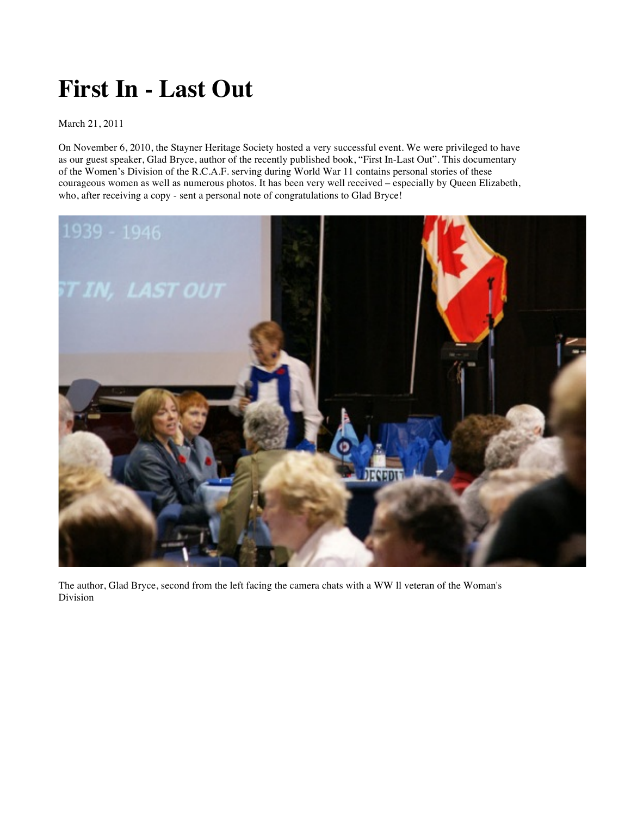## **First In - Last Out**

## March 21, 2011

On November 6, 2010, the Stayner Heritage Society hosted a very successful event. We were privileged to have as our guest speaker, Glad Bryce, author of the recently published book, "First In-Last Out". This documentary of the Women's Division of the R.C.A.F. serving during World War 11 contains personal stories of these courageous women as well as numerous photos. It has been very well received – especially by Queen Elizabeth, who, after receiving a copy - sent a personal note of congratulations to Glad Bryce!



The author, Glad Bryce, second from the left facing the camera chats with a WW ll veteran of the Woman's Division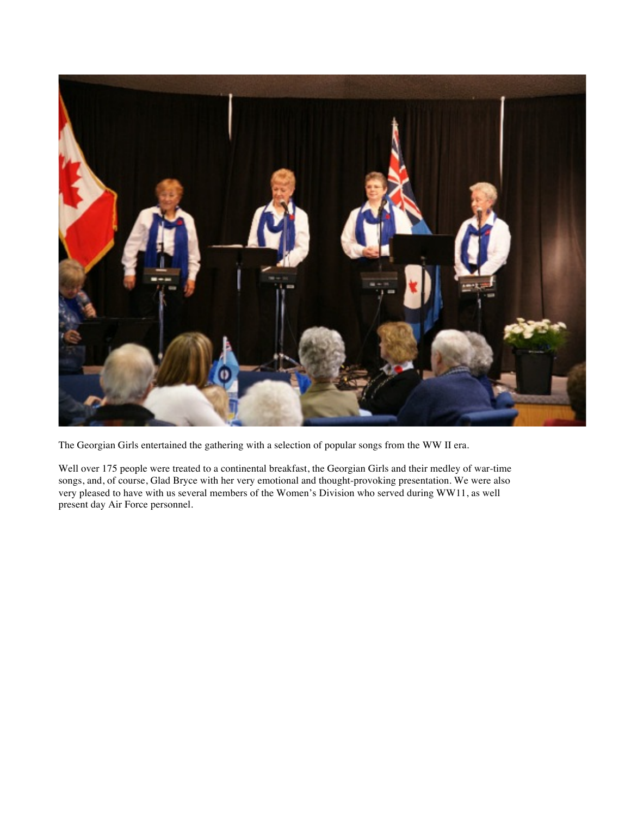

The Georgian Girls entertained the gathering with a selection of popular songs from the WW II era.

Well over 175 people were treated to a continental breakfast, the Georgian Girls and their medley of war-time songs, and, of course, Glad Bryce with her very emotional and thought-provoking presentation. We were also very pleased to have with us several members of the Women's Division who served during WW11, as well present day Air Force personnel.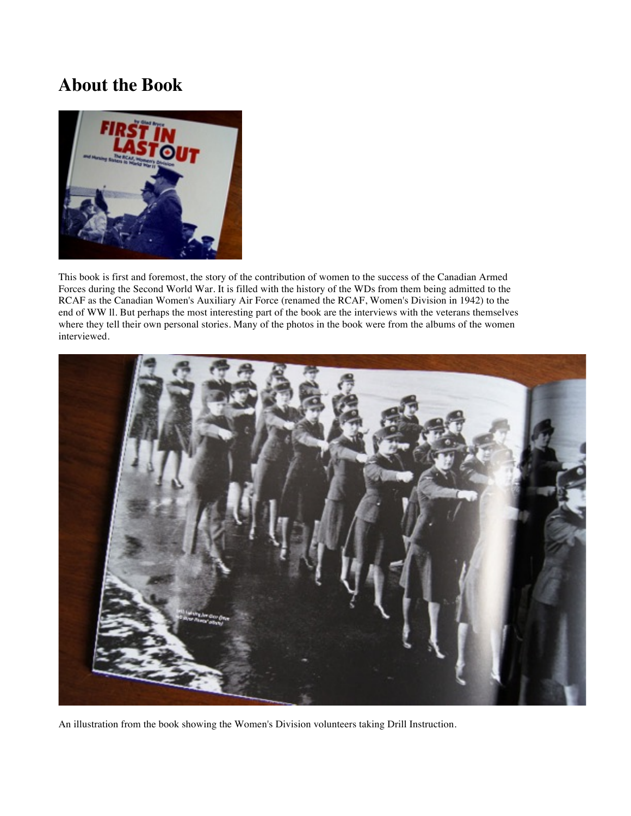## **About the Book**



This book is first and foremost, the story of the contribution of women to the success of the Canadian Armed Forces during the Second World War. It is filled with the history of the WDs from them being admitted to the RCAF as the Canadian Women's Auxiliary Air Force (renamed the RCAF, Women's Division in 1942) to the end of WW ll. But perhaps the most interesting part of the book are the interviews with the veterans themselves where they tell their own personal stories. Many of the photos in the book were from the albums of the women interviewed.



An illustration from the book showing the Women's Division volunteers taking Drill Instruction.